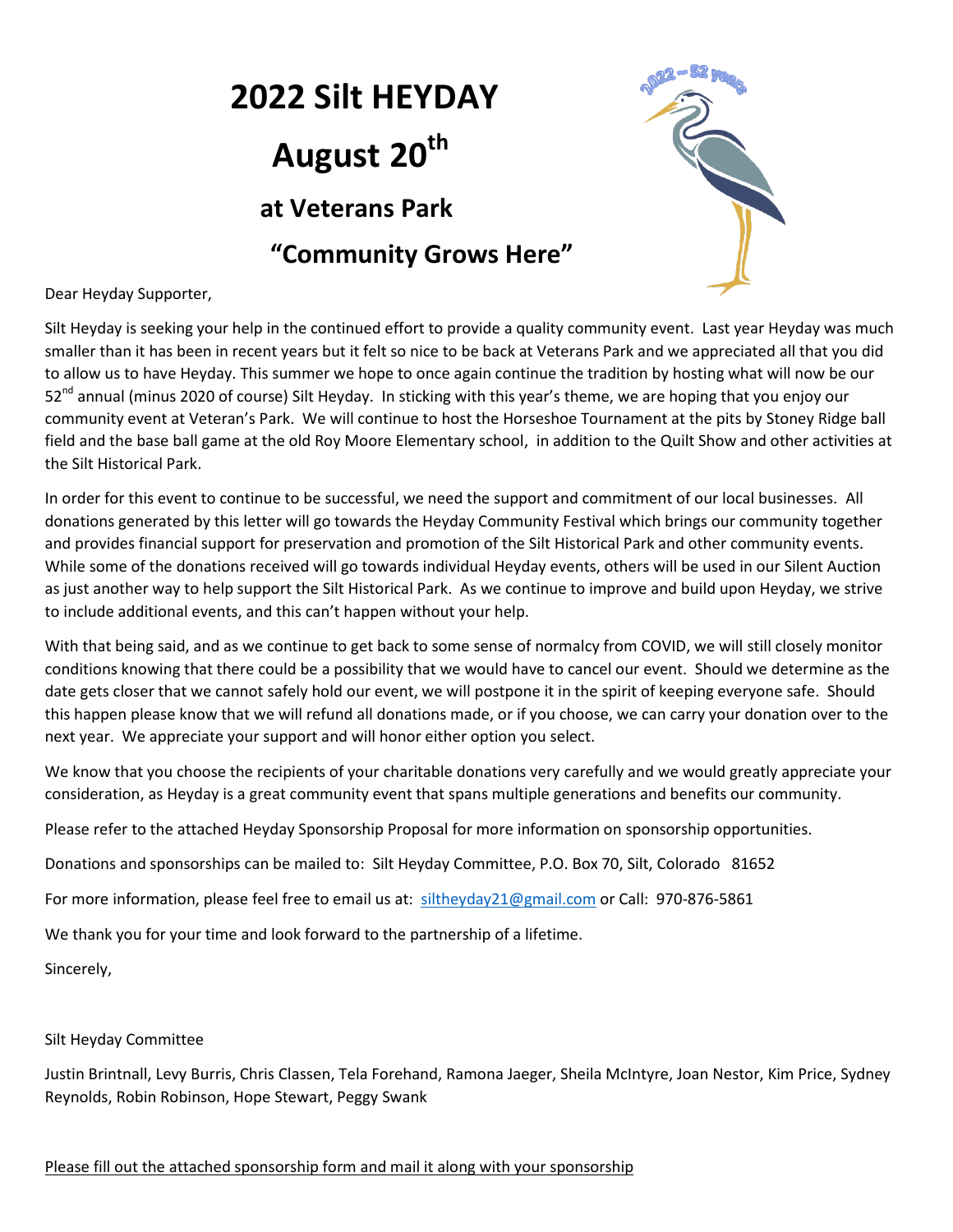# **2022 Silt HEYDAY 120** August 20<sup>th</sup>  **at Veterans Park "Community Grows Here"**



Dear Heyday Supporter,

Silt Heyday is seeking your help in the continued effort to provide a quality community event. Last year Heyday was much smaller than it has been in recent years but it felt so nice to be back at Veterans Park and we appreciated all that you did to allow us to have Heyday. This summer we hope to once again continue the tradition by hosting what will now be our 52<sup>nd</sup> annual (minus 2020 of course) Silt Heyday. In sticking with this year's theme, we are hoping that you enjoy our community event at Veteran's Park. We will continue to host the Horseshoe Tournament at the pits by Stoney Ridge ball field and the base ball game at the old Roy Moore Elementary school, in addition to the Quilt Show and other activities at the Silt Historical Park.

In order for this event to continue to be successful, we need the support and commitment of our local businesses. All donations generated by this letter will go towards the Heyday Community Festival which brings our community together and provides financial support for preservation and promotion of the Silt Historical Park and other community events. While some of the donations received will go towards individual Heyday events, others will be used in our Silent Auction as just another way to help support the Silt Historical Park. As we continue to improve and build upon Heyday, we strive to include additional events, and this can't happen without your help.

With that being said, and as we continue to get back to some sense of normalcy from COVID, we will still closely monitor conditions knowing that there could be a possibility that we would have to cancel our event. Should we determine as the date gets closer that we cannot safely hold our event, we will postpone it in the spirit of keeping everyone safe. Should this happen please know that we will refund all donations made, or if you choose, we can carry your donation over to the next year. We appreciate your support and will honor either option you select.

We know that you choose the recipients of your charitable donations very carefully and we would greatly appreciate your consideration, as Heyday is a great community event that spans multiple generations and benefits our community.

Please refer to the attached Heyday Sponsorship Proposal for more information on sponsorship opportunities.

Donations and sponsorships can be mailed to: Silt Heyday Committee, P.O. Box 70, Silt, Colorado 81652

For more information, please feel free to email us at: [siltheyday21@gmail.com](mailto:siltheyday21@gmail.com) or Call: 970-876-5861

We thank you for your time and look forward to the partnership of a lifetime.

Sincerely,

#### Silt Heyday Committee

Justin Brintnall, Levy Burris, Chris Classen, Tela Forehand, Ramona Jaeger, Sheila McIntyre, Joan Nestor, Kim Price, Sydney Reynolds, Robin Robinson, Hope Stewart, Peggy Swank